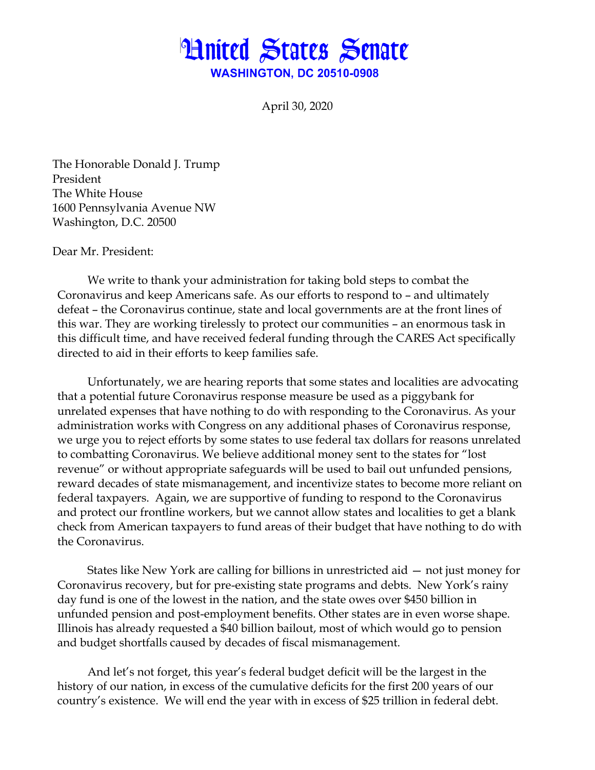

April 30, 2020

The Honorable Donald J. Trump President The White House 1600 Pennsylvania Avenue NW Washington, D.C. 20500

Dear Mr. President:

We write to thank your administration for taking bold steps to combat the Coronavirus and keep Americans safe. As our efforts to respond to – and ultimately defeat – the Coronavirus continue, state and local governments are at the front lines of this war. They are working tirelessly to protect our communities – an enormous task in this difficult time, and have received federal funding through the CARES Act specifically directed to aid in their efforts to keep families safe.

Unfortunately, we are hearing reports that some states and localities are advocating that a potential future Coronavirus response measure be used as a piggybank for unrelated expenses that have nothing to do with responding to the Coronavirus. As your administration works with Congress on any additional phases of Coronavirus response, we urge you to reject efforts by some states to use federal tax dollars for reasons unrelated to combatting Coronavirus. We believe additional money sent to the states for "lost revenue" or without appropriate safeguards will be used to bail out unfunded pensions, reward decades of state mismanagement, and incentivize states to become more reliant on federal taxpayers. Again, we are supportive of funding to respond to the Coronavirus and protect our frontline workers, but we cannot allow states and localities to get a blank check from American taxpayers to fund areas of their budget that have nothing to do with the Coronavirus.

States like New York are calling for billions in unrestricted aid — not just money for Coronavirus recovery, but for pre-existing state programs and debts. New York's rainy day fund is one of the lowest in the nation, and the state owes over \$450 billion in unfunded pension and post-employment benefits. Other states are in even worse shape. Illinois has already requested a \$40 billion bailout, most of which would go to pension and budget shortfalls caused by decades of fiscal mismanagement.

And let's not forget, this year's federal budget deficit will be the largest in the history of our nation, in excess of the cumulative deficits for the first 200 years of our country's existence. We will end the year with in excess of \$25 trillion in federal debt.